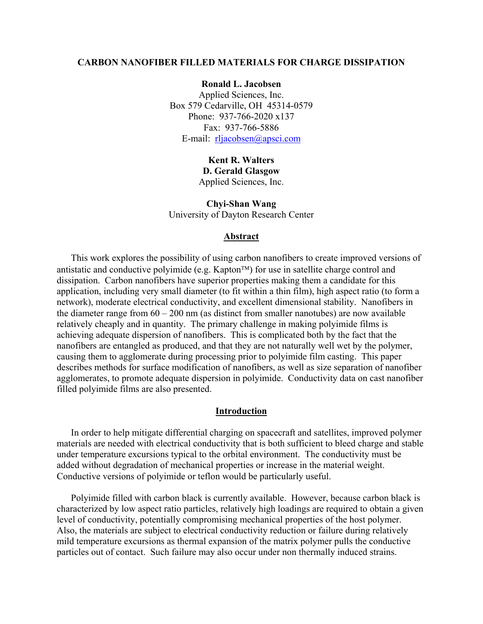#### **CARBON NANOFIBER FILLED MATERIALS FOR CHARGE DISSIPATION**

**Ronald L. Jacobsen**  Applied Sciences, Inc. Box 579 Cedarville, OH 45314-0579 Phone: 937-766-2020 x137 Fax: 937-766-5886 E-mail: <u>[rljacobsen@apsci.com](mailto:rljacobsen@apsci.com)</u>

> **Kent R. Walters D. Gerald Glasgow** Applied Sciences, Inc.

**Chyi-Shan Wang**  University of Dayton Research Center

#### **Abstract**

This work explores the possibility of using carbon nanofibers to create improved versions of antistatic and conductive polyimide (e.g. Kapton<sup> $TM$ </sup>) for use in satellite charge control and dissipation. Carbon nanofibers have superior properties making them a candidate for this application, including very small diameter (to fit within a thin film), high aspect ratio (to form a network), moderate electrical conductivity, and excellent dimensional stability. Nanofibers in the diameter range from  $60 - 200$  nm (as distinct from smaller nanotubes) are now available relatively cheaply and in quantity. The primary challenge in making polyimide films is achieving adequate dispersion of nanofibers. This is complicated both by the fact that the nanofibers are entangled as produced, and that they are not naturally well wet by the polymer, causing them to agglomerate during processing prior to polyimide film casting. This paper describes methods for surface modification of nanofibers, as well as size separation of nanofiber agglomerates, to promote adequate dispersion in polyimide. Conductivity data on cast nanofiber filled polyimide films are also presented.

### **Introduction**

In order to help mitigate differential charging on spacecraft and satellites, improved polymer materials are needed with electrical conductivity that is both sufficient to bleed charge and stable under temperature excursions typical to the orbital environment. The conductivity must be added without degradation of mechanical properties or increase in the material weight. Conductive versions of polyimide or teflon would be particularly useful.

Polyimide filled with carbon black is currently available. However, because carbon black is characterized by low aspect ratio particles, relatively high loadings are required to obtain a given level of conductivity, potentially compromising mechanical properties of the host polymer. Also, the materials are subject to electrical conductivity reduction or failure during relatively mild temperature excursions as thermal expansion of the matrix polymer pulls the conductive particles out of contact. Such failure may also occur under non thermally induced strains.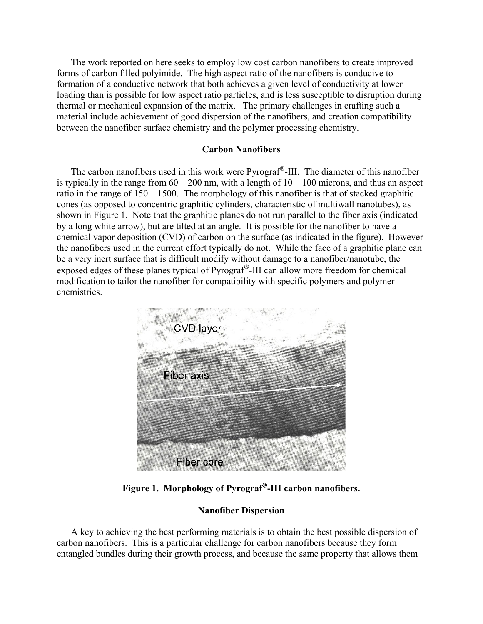The work reported on here seeks to employ low cost carbon nanofibers to create improved forms of carbon filled polyimide. The high aspect ratio of the nanofibers is conducive to formation of a conductive network that both achieves a given level of conductivity at lower loading than is possible for low aspect ratio particles, and is less susceptible to disruption during thermal or mechanical expansion of the matrix. The primary challenges in crafting such a material include achievement of good dispersion of the nanofibers, and creation compatibility between the nanofiber surface chemistry and the polymer processing chemistry.

### **Carbon Nanofibers**

The carbon nanofibers used in this work were Pyrograf<sup>®</sup>-III. The diameter of this nanofiber is typically in the range from  $60 - 200$  nm, with a length of  $10 - 100$  microns, and thus an aspect ratio in the range of 150 – 1500. The morphology of this nanofiber is that of stacked graphitic cones (as opposed to concentric graphitic cylinders, characteristic of multiwall nanotubes), as shown in Figure 1. Note that the graphitic planes do not run parallel to the fiber axis (indicated by a long white arrow), but are tilted at an angle. It is possible for the nanofiber to have a chemical vapor deposition (CVD) of carbon on the surface (as indicated in the figure). However the nanofibers used in the current effort typically do not. While the face of a graphitic plane can be a very inert surface that is difficult modify without damage to a nanofiber/nanotube, the exposed edges of these planes typical of Pyrograf<sup>®</sup>-III can allow more freedom for chemical modification to tailor the nanofiber for compatibility with specific polymers and polymer chemistries.



**Figure 1. Morphology of Pyrograf-III carbon nanofibers.** 

## **Nanofiber Dispersion**

A key to achieving the best performing materials is to obtain the best possible dispersion of carbon nanofibers. This is a particular challenge for carbon nanofibers because they form entangled bundles during their growth process, and because the same property that allows them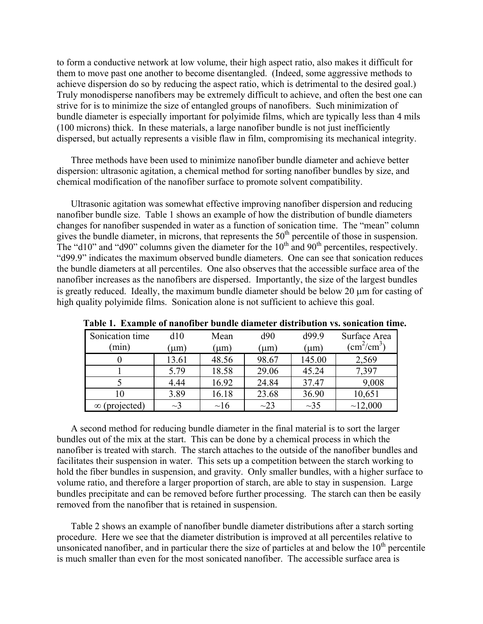to form a conductive network at low volume, their high aspect ratio, also makes it difficult for them to move past one another to become disentangled. (Indeed, some aggressive methods to achieve dispersion do so by reducing the aspect ratio, which is detrimental to the desired goal.) Truly monodisperse nanofibers may be extremely difficult to achieve, and often the best one can strive for is to minimize the size of entangled groups of nanofibers. Such minimization of bundle diameter is especially important for polyimide films, which are typically less than 4 mils (100 microns) thick. In these materials, a large nanofiber bundle is not just inefficiently dispersed, but actually represents a visible flaw in film, compromising its mechanical integrity.

Three methods have been used to minimize nanofiber bundle diameter and achieve better dispersion: ultrasonic agitation, a chemical method for sorting nanofiber bundles by size, and chemical modification of the nanofiber surface to promote solvent compatibility.

Ultrasonic agitation was somewhat effective improving nanofiber dispersion and reducing nanofiber bundle size. Table 1 shows an example of how the distribution of bundle diameters changes for nanofiber suspended in water as a function of sonication time. The "mean" column gives the bundle diameter, in microns, that represents the  $50<sup>th</sup>$  percentile of those in suspension. The "d10" and "d90" columns given the diameter for the  $10<sup>th</sup>$  and  $90<sup>th</sup>$  percentiles, respectively. "d99.9" indicates the maximum observed bundle diameters. One can see that sonication reduces the bundle diameters at all percentiles. One also observes that the accessible surface area of the nanofiber increases as the nanofibers are dispersed. Importantly, the size of the largest bundles is greatly reduced. Ideally, the maximum bundle diameter should be below 20 µm for casting of high quality polyimide films. Sonication alone is not sufficient to achieve this goal.

| Sonication time | d10      | Mean      | d90       | d99.9     | Surface Area<br>$\text{cm}^2/\text{cm}^3$ |
|-----------------|----------|-----------|-----------|-----------|-------------------------------------------|
| (min)           | $\mu$ m) | $(\mu m)$ | (µm)      | $(\mu m)$ |                                           |
|                 | 13.61    | 48.56     | 98.67     | 145.00    | 2,569                                     |
|                 | 5.79     | 18.58     | 29.06     | 45.24     | 7,397                                     |
|                 | 4.44     | 16.92     | 24.84     | 37.47     | 9,008                                     |
| 10              | 3.89     | 16.18     | 23.68     | 36.90     | 10,651                                    |
| projected)      | $\sim$ 3 | $\sim$ 16 | $\sim$ 23 | $\sim$ 35 | ~12,000                                   |

**Table 1. Example of nanofiber bundle diameter distribution vs. sonication time.**

A second method for reducing bundle diameter in the final material is to sort the larger bundles out of the mix at the start. This can be done by a chemical process in which the nanofiber is treated with starch. The starch attaches to the outside of the nanofiber bundles and facilitates their suspension in water. This sets up a competition between the starch working to hold the fiber bundles in suspension, and gravity. Only smaller bundles, with a higher surface to volume ratio, and therefore a larger proportion of starch, are able to stay in suspension. Large bundles precipitate and can be removed before further processing. The starch can then be easily removed from the nanofiber that is retained in suspension.

Table 2 shows an example of nanofiber bundle diameter distributions after a starch sorting procedure. Here we see that the diameter distribution is improved at all percentiles relative to unsonicated nanofiber, and in particular there the size of particles at and below the  $10<sup>th</sup>$  percentile is much smaller than even for the most sonicated nanofiber. The accessible surface area is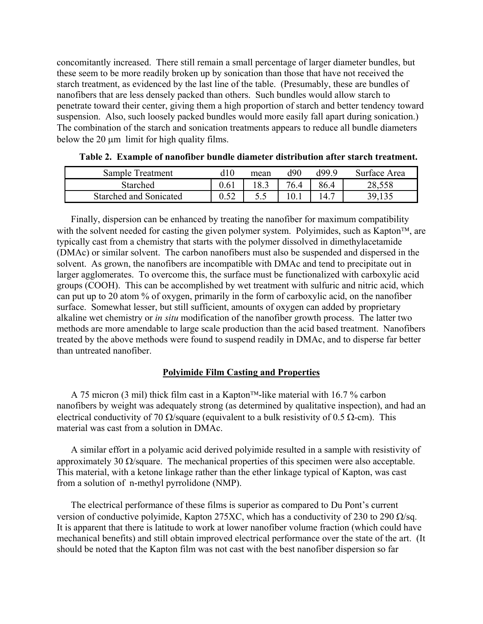concomitantly increased. There still remain a small percentage of larger diameter bundles, but these seem to be more readily broken up by sonication than those that have not received the starch treatment, as evidenced by the last line of the table. (Presumably, these are bundles of nanofibers that are less densely packed than others. Such bundles would allow starch to penetrate toward their center, giving them a high proportion of starch and better tendency toward suspension. Also, such loosely packed bundles would more easily fall apart during sonication.) The combination of the starch and sonication treatments appears to reduce all bundle diameters below the 20 um limit for high quality films.

| Sample Treatment       | 110  | mean | ብዕበ  | 90 OP | Surface Area |
|------------------------|------|------|------|-------|--------------|
| Starched               | 9.61 |      | 76.4 | 86.4  |              |
| Starched and Sonicated |      |      |      |       |              |

Finally, dispersion can be enhanced by treating the nanofiber for maximum compatibility with the solvent needed for casting the given polymer system. Polyimides, such as Kapton<sup>TM</sup>, are typically cast from a chemistry that starts with the polymer dissolved in dimethylacetamide (DMAc) or similar solvent. The carbon nanofibers must also be suspended and dispersed in the solvent. As grown, the nanofibers are incompatible with DMAc and tend to precipitate out in larger agglomerates. To overcome this, the surface must be functionalized with carboxylic acid groups (COOH). This can be accomplished by wet treatment with sulfuric and nitric acid, which can put up to 20 atom % of oxygen, primarily in the form of carboxylic acid, on the nanofiber surface. Somewhat lesser, but still sufficient, amounts of oxygen can added by proprietary alkaline wet chemistry or *in situ* modification of the nanofiber growth process. The latter two methods are more amendable to large scale production than the acid based treatment. Nanofibers treated by the above methods were found to suspend readily in DMAc, and to disperse far better than untreated nanofiber.

### **Polyimide Film Casting and Properties**

A 75 micron (3 mil) thick film cast in a Kapton<sup>TM</sup>-like material with 16.7 % carbon nanofibers by weight was adequately strong (as determined by qualitative inspection), and had an electrical conductivity of 70  $\Omega$ /square (equivalent to a bulk resistivity of 0.5  $\Omega$ -cm). This material was cast from a solution in DMAc.

A similar effort in a polyamic acid derived polyimide resulted in a sample with resistivity of approximately 30  $\Omega$ /square. The mechanical properties of this specimen were also acceptable. This material, with a ketone linkage rather than the ether linkage typical of Kapton, was cast from a solution of n-methyl pyrrolidone (NMP).

The electrical performance of these films is superior as compared to Du Pont's current version of conductive polyimide, Kapton 275XC, which has a conductivity of 230 to 290  $\Omega$ /sq. It is apparent that there is latitude to work at lower nanofiber volume fraction (which could have mechanical benefits) and still obtain improved electrical performance over the state of the art. (It should be noted that the Kapton film was not cast with the best nanofiber dispersion so far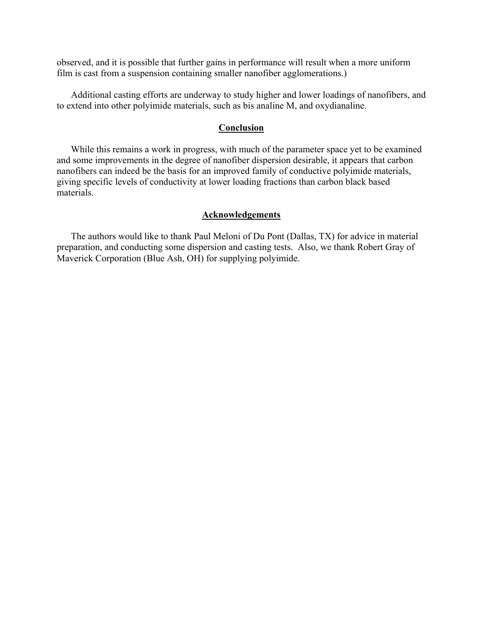observed, and it is possible that further gains in performance will result when a more uniform film is cast from a suspension containing smaller nanofiber agglomerations.)

Additional casting efforts are underway to study higher and lower loadings of nanofibers, and to extend into other polyimide materials, such as bis analine M, and oxydianaline.

#### **Conclusion**

While this remains a work in progress, with much of the parameter space yet to be examined and some improvements in the degree of nanofiber dispersion desirable, it appears that carbon nanofibers can indeed be the basis for an improved family of conductive polyimide materials, giving specific levels of conductivity at lower loading fractions than carbon black based materials.

### **Acknowledgements**

The authors would like to thank Paul Meloni of Du Pont (Dallas, TX) for advice in material preparation, and conducting some dispersion and casting tests. Also, we thank Robert Gray of Maverick Corporation (Blue Ash, OH) for supplying polyimide.